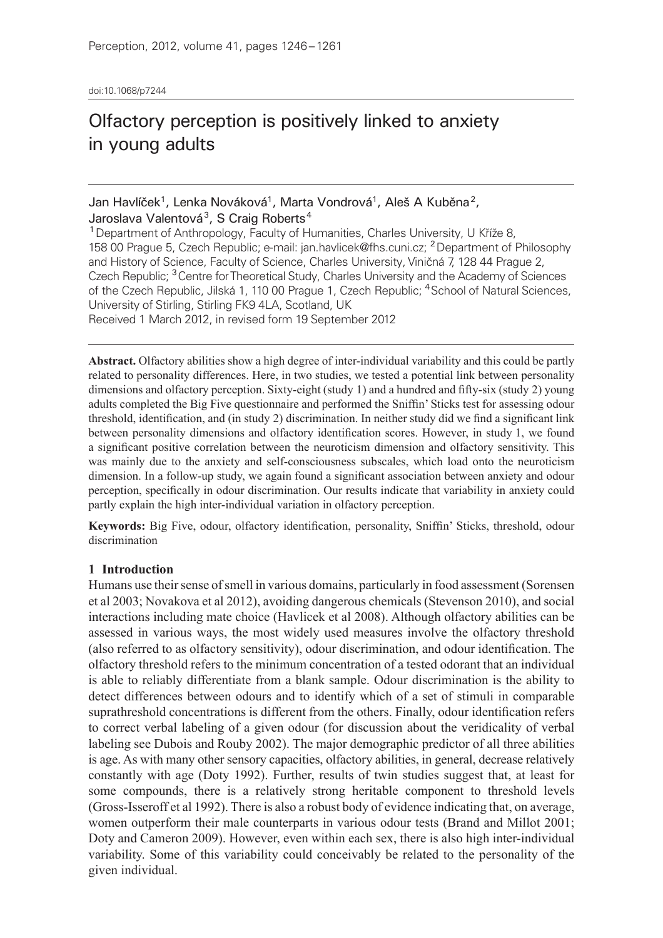doi:10.1068/p7244

# Olfactory perception is positively linked to anxiety in young adults

## Jan Havlíček<sup>1</sup>, Lenka Nováková<sup>1</sup>, Marta Vondrová<sup>1</sup>, Aleš A Kuběna<sup>2</sup>, Jaroslava Valentová<sup>3</sup>, S Craig Roberts<sup>4</sup>

<sup>1</sup>Department of Anthropology, Faculty of Humanities, Charles University, U Kříže 8, 158 00 Prague 5, Czech Republic; e-mail: jan.havlicek@fhs.cuni.cz; <sup>2</sup>Department of Philosophy and History of Science, Faculty of Science, Charles University, Viničná 7, 128 44 Prague 2, Czech Republic; <sup>3</sup>Centre for Theoretical Study, Charles University and the Academy of Sciences of the Czech Republic, Jilská 1, 110 00 Prague 1, Czech Republic; <sup>4</sup>School of Natural Sciences, University of Stirling, Stirling FK9 4LA, Scotland, UK Received 1 March 2012, in revised form 19 September 2012

**Abstract.** Olfactory abilities show a high degree of inter-individual variability and this could be partly related to personality differences. Here, in two studies, we tested a potential link between personality dimensions and olfactory perception. Sixty-eight (study 1) and a hundred and fifty-six (study 2) young adults completed the Big Five questionnaire and performed the Sniffin' Sticks test for assessing odour threshold, identification, and (in study 2) discrimination. In neither study did we find a significant link between personality dimensions and olfactory identification scores. However, in study 1, we found a significant positive correlation between the neuroticism dimension and olfactory sensitivity. This was mainly due to the anxiety and self-consciousness subscales, which load onto the neuroticism dimension. In a follow-up study, we again found a significant association between anxiety and odour perception, specifically in odour discrimination. Our results indicate that variability in anxiety could partly explain the high inter-individual variation in olfactory perception.

**Keywords:** Big Five, odour, olfactory identification, personality, Sniffin' Sticks, threshold, odour discrimination

### **1 Introduction**

Humans use their sense of smell in various domains, particularly in food assessment (Sorensen et al 2003; Novakova et al 2012), avoiding dangerous chemicals (Stevenson 2010), and social interactions including mate choice (Havlicek et al 2008). Although olfactory abilities can be assessed in various ways, the most widely used measures involve the olfactory threshold (also referred to as olfactory sensitivity), odour discrimination, and odour identification. The olfactory threshold refers to the minimum concentration of a tested odorant that an individual is able to reliably differentiate from a blank sample. Odour discrimination is the ability to detect differences between odours and to identify which of a set of stimuli in comparable suprathreshold concentrations is different from the others. Finally, odour identification refers to correct verbal labeling of a given odour (for discussion about the veridicality of verbal labeling see Dubois and Rouby 2002). The major demographic predictor of all three abilities is age. As with many other sensory capacities, olfactory abilities, in general, decrease relatively constantly with age (Doty 1992). Further, results of twin studies suggest that, at least for some compounds, there is a relatively strong heritable component to threshold levels (Gross‑Isseroff et al 1992). There is also a robust body of evidence indicating that, on average, women outperform their male counterparts in various odour tests (Brand and Millot 2001; Doty and Cameron 2009). However, even within each sex, there is also high inter-individual variability. Some of this variability could conceivably be related to the personality of the given individual.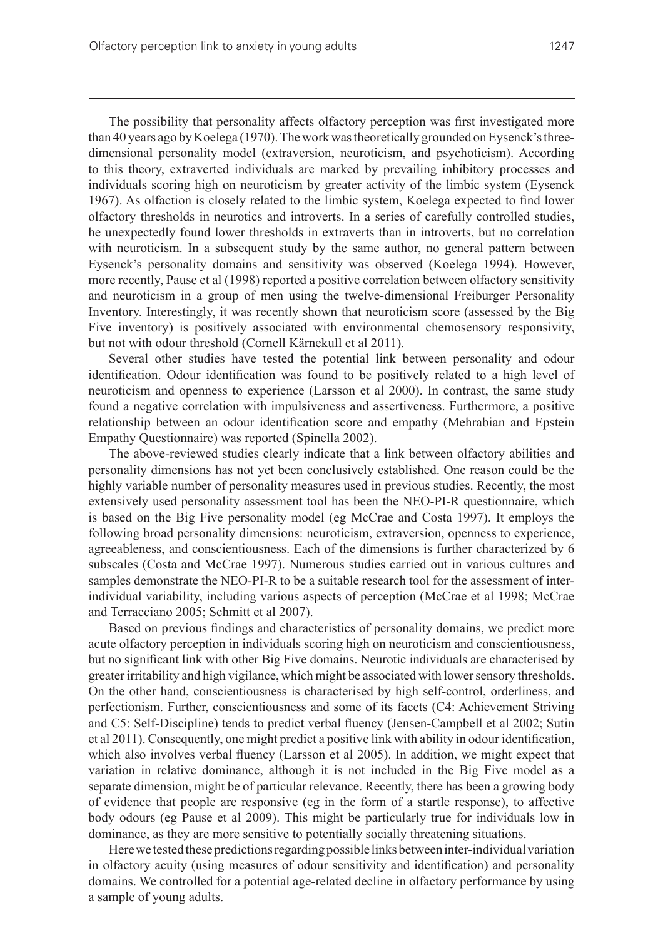The possibility that personality affects olfactory perception was first investigated more than 40 years ago by Koelega (1970). The work was theoretically grounded on Eysenck's threedimensional personality model (extraversion, neuroticism, and psychoticism). According to this theory, extraverted individuals are marked by prevailing inhibitory processes and individuals scoring high on neuroticism by greater activity of the limbic system (Eysenck 1967). As olfaction is closely related to the limbic system, Koelega expected to find lower olfactory thresholds in neurotics and introverts. In a series of carefully controlled studies, he unexpectedly found lower thresholds in extraverts than in introverts, but no correlation with neuroticism. In a subsequent study by the same author, no general pattern between Eysenck's personality domains and sensitivity was observed (Koelega 1994). However, more recently, Pause et al (1998) reported a positive correlation between olfactory sensitivity and neuroticism in a group of men using the twelve-dimensional Freiburger Personality Inventory. Interestingly, it was recently shown that neuroticism score (assessed by the Big Five inventory) is positively associated with environmental chemosensory responsivity, but not with odour threshold (Cornell Kärnekull et al 2011).

Several other studies have tested the potential link between personality and odour identification. Odour identification was found to be positively related to a high level of neuroticism and openness to experience (Larsson et al 2000). In contrast, the same study found a negative correlation with impulsiveness and assertiveness. Furthermore, a positive relationship between an odour identification score and empathy (Mehrabian and Epstein Empathy Questionnaire) was reported (Spinella 2002).

The above-reviewed studies clearly indicate that a link between olfactory abilities and personality dimensions has not yet been conclusively established. One reason could be the highly variable number of personality measures used in previous studies. Recently, the most extensively used personality assessment tool has been the NEO–PI-R questionnaire, which is based on the Big Five personality model (eg McCrae and Costa 1997). It employs the following broad personality dimensions: neuroticism, extraversion, openness to experience, agreeableness, and conscientiousness. Each of the dimensions is further characterized by 6 subscales (Costa and McCrae 1997). Numerous studies carried out in various cultures and samples demonstrate the NEO-PI-R to be a suitable research tool for the assessment of interindividual variability, including various aspects of perception (McCrae et al 1998; McCrae and Terracciano 2005; Schmitt et al 2007).

Based on previous findings and characteristics of personality domains, we predict more acute olfactory perception in individuals scoring high on neuroticism and conscientiousness, but no significant link with other Big Five domains. Neurotic individuals are characterised by greater irritability and high vigilance, which might be associated with lower sensory thresholds. On the other hand, conscientiousness is characterised by high self-control, orderliness, and perfectionism. Further, conscientiousness and some of its facets (C4: Achievement Striving and C5: Self-Discipline) tends to predict verbal fluency (Jensen-Campbell et al 2002; Sutin et al 2011). Consequently, one might predict a positive link with ability in odour identification, which also involves verbal fluency (Larsson et al 2005). In addition, we might expect that variation in relative dominance, although it is not included in the Big Five model as a separate dimension, might be of particular relevance. Recently, there has been a growing body of evidence that people are responsive (eg in the form of a startle response), to affective body odours (eg Pause et al 2009). This might be particularly true for individuals low in dominance, as they are more sensitive to potentially socially threatening situations.

Here we tested these predictions regarding possible links between inter-individual variation in olfactory acuity (using measures of odour sensitivity and identification) and personality domains. We controlled for a potential age-related decline in olfactory performance by using a sample of young adults.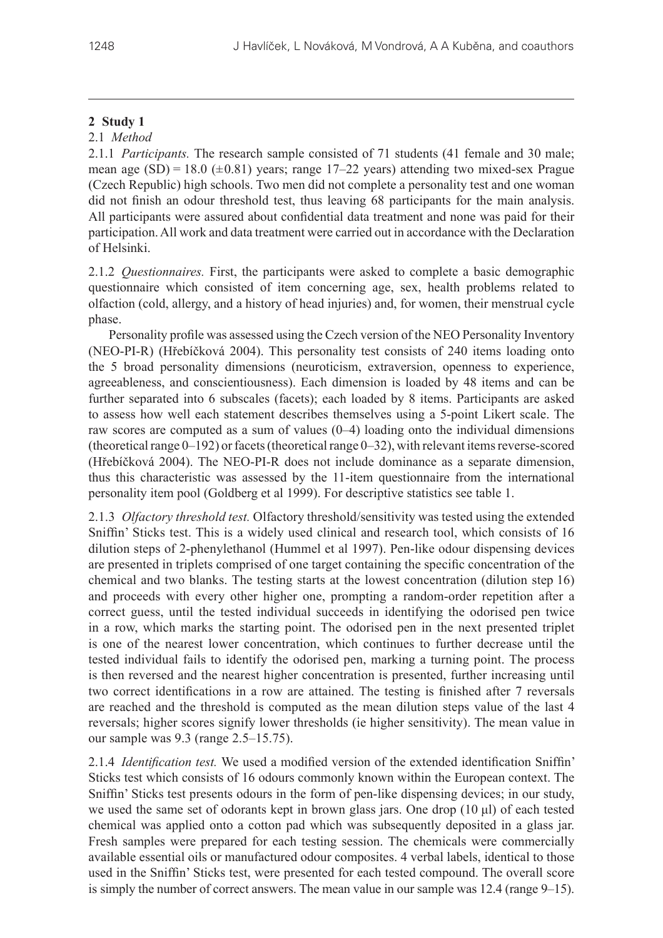# **2 Study 1**

# 2.1 *Method*

2.1.1 *Participants.* The research sample consisted of 71 students (41 female and 30 male; mean age  $(SD) = 18.0 \ (\pm 0.81)$  years; range 17–22 years) attending two mixed-sex Prague (Czech Republic) high schools. Two men did not complete a personality test and one woman did not finish an odour threshold test, thus leaving 68 participants for the main analysis. All participants were assured about confidential data treatment and none was paid for their participation. All work and data treatment were carried out in accordance with the Declaration of Helsinki.

2.1.2 *Questionnaires.* First, the participants were asked to complete a basic demographic questionnaire which consisted of item concerning age, sex, health problems related to olfaction (cold, allergy, and a history of head injuries) and, for women, their menstrual cycle phase.

Personality profile was assessed using the Czech version of the NEO Personality Inventory (NEO‑PI‑R) (Hřebíčková 2004). This personality test consists of 240 items loading onto the 5 broad personality dimensions (neuroticism, extraversion, openness to experience, agreeableness, and conscientiousness). Each dimension is loaded by 48 items and can be further separated into 6 subscales (facets); each loaded by 8 items. Participants are asked to assess how well each statement describes themselves using a 5‑point Likert scale. The raw scores are computed as a sum of values (0–4) loading onto the individual dimensions (theoretical range  $0-192$ ) or facets (theoretical range  $0-32$ ), with relevant items reverse-scored (Hřebíčková 2004). The NEO‑PI‑R does not include dominance as a separate dimension, thus this characteristic was assessed by the 11-item questionnaire from the international personality item pool (Goldberg et al 1999). For descriptive statistics see table 1.

2.1.3 *Olfactory threshold test.* Olfactory threshold/sensitivity was tested using the extended Sniffin' Sticks test. This is a widely used clinical and research tool, which consists of 16 dilution steps of 2‑phenylethanol (Hummel et al 1997). Pen-like odour dispensing devices are presented in triplets comprised of one target containing the specific concentration of the chemical and two blanks. The testing starts at the lowest concentration (dilution step 16) and proceeds with every other higher one, prompting a random-order repetition after a correct guess, until the tested individual succeeds in identifying the odorised pen twice in a row, which marks the starting point. The odorised pen in the next presented triplet is one of the nearest lower concentration, which continues to further decrease until the tested individual fails to identify the odorised pen, marking a turning point. The process is then reversed and the nearest higher concentration is presented, further increasing until two correct identifications in a row are attained. The testing is finished after 7 reversals are reached and the threshold is computed as the mean dilution steps value of the last 4 reversals; higher scores signify lower thresholds (ie higher sensitivity). The mean value in our sample was 9.3 (range 2.5–15.75).

2.1.4 *Identification test.* We used a modified version of the extended identification Sniffin' Sticks test which consists of 16 odours commonly known within the European context. The Sniffin' Sticks test presents odours in the form of pen-like dispensing devices; in our study, we used the same set of odorants kept in brown glass jars. One drop (10 μl) of each tested chemical was applied onto a cotton pad which was subsequently deposited in a glass jar. Fresh samples were prepared for each testing session. The chemicals were commercially available essential oils or manufactured odour composites. 4 verbal labels, identical to those used in the Sniffin' Sticks test, were presented for each tested compound. The overall score is simply the number of correct answers. The mean value in our sample was 12.4 (range 9–15).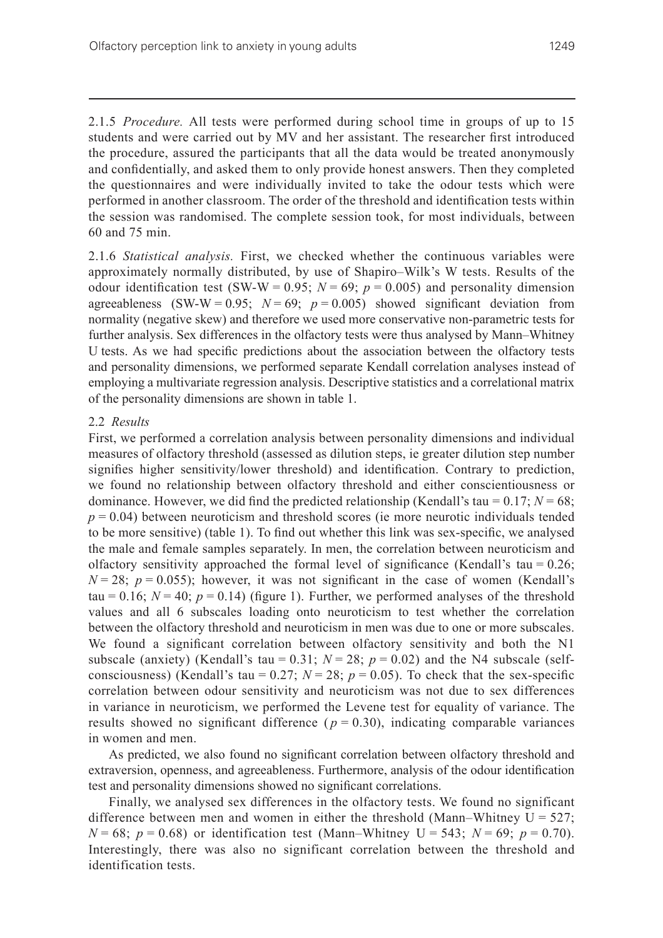2.1.5 *Procedure.* All tests were performed during school time in groups of up to 15 students and were carried out by MV and her assistant. The researcher first introduced the procedure, assured the participants that all the data would be treated anonymously and confidentially, and asked them to only provide honest answers. Then they completed the questionnaires and were individually invited to take the odour tests which were performed in another classroom. The order of the threshold and identification tests within the session was randomised. The complete session took, for most individuals, between 60 and 75 min.

2.1.6 *Statistical analysis.* First, we checked whether the continuous variables were approximately normally distributed, by use of Shapiro–Wilk's W tests. Results of the odour identification test (SW-W =  $0.95$ ; *N* =  $69$ ; *p* = 0.005) and personality dimension agreeableness (SW-W = 0.95;  $N = 69$ ;  $p = 0.005$ ) showed significant deviation from normality (negative skew) and therefore we used more conservative non-parametric tests for further analysis. Sex differences in the olfactory tests were thus analysed by Mann–Whitney U tests. As we had specific predictions about the association between the olfactory tests and personality dimensions, we performed separate Kendall correlation analyses instead of employing a multivariate regression analysis. Descriptive statistics and a correlational matrix of the personality dimensions are shown in table 1.

#### 2.2 *Results*

First, we performed a correlation analysis between personality dimensions and individual measures of olfactory threshold (assessed as dilution steps, ie greater dilution step number signifies higher sensitivity/lower threshold) and identification. Contrary to prediction, we found no relationship between olfactory threshold and either conscientiousness or dominance. However, we did find the predicted relationship (Kendall's tau =  $0.17$ ;  $N = 68$ ;  $p = 0.04$ ) between neuroticism and threshold scores (ie more neurotic individuals tended to be more sensitive) (table 1). To find out whether this link was sex-specific, we analysed the male and female samples separately. In men, the correlation between neuroticism and olfactory sensitivity approached the formal level of significance (Kendall's tau =  $0.26$ ;  $N = 28$ ;  $p = 0.055$ ); however, it was not significant in the case of women (Kendall's tau = 0.16;  $N = 40$ ;  $p = 0.14$ ) (figure 1). Further, we performed analyses of the threshold values and all 6 subscales loading onto neuroticism to test whether the correlation between the olfactory threshold and neuroticism in men was due to one or more subscales. We found a significant correlation between olfactory sensitivity and both the N1 subscale (anxiety) (Kendall's tau =  $0.31$ ;  $N = 28$ ;  $p = 0.02$ ) and the N4 subscale (selfconsciousness) (Kendall's tau =  $0.27$ ;  $N = 28$ ;  $p = 0.05$ ). To check that the sex-specific correlation between odour sensitivity and neuroticism was not due to sex differences in variance in neuroticism, we performed the Levene test for equality of variance. The results showed no significant difference  $(p = 0.30)$ , indicating comparable variances in women and men.

As predicted, we also found no significant correlation between olfactory threshold and extraversion, openness, and agreeableness. Furthermore, analysis of the odour identification test and personality dimensions showed no significant correlations.

Finally, we analysed sex differences in the olfactory tests. We found no significant difference between men and women in either the threshold (Mann–Whitney  $U = 527$ ; *N* = 68; *p* = 0.68) or identification test (Mann–Whitney U = 543; *N* = 69; *p* = 0.70). Interestingly, there was also no significant correlation between the threshold and identification tests.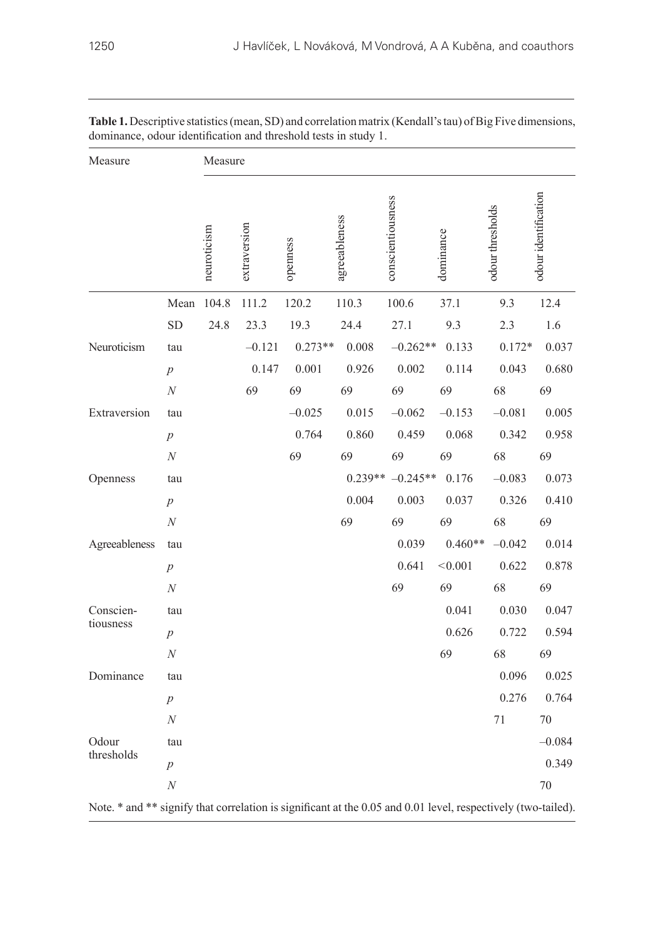| Measure       |                  | Measure     |              |           |               |                          |                   |                  |                      |
|---------------|------------------|-------------|--------------|-----------|---------------|--------------------------|-------------------|------------------|----------------------|
|               |                  | neuroticism | extraversion | openness  | agreeableness | conscientiousness        | dominance         | odour thresholds | odour identification |
|               | Mean             | 104.8       | 111.2        | 120.2     | 110.3         | 100.6                    | 37.1              | 9.3              | 12.4                 |
|               | ${\rm SD}$       | 24.8        | 23.3         | 19.3      | 24.4          | 27.1                     | 9.3               | 2.3              | 1.6                  |
| Neuroticism   | tau              |             | $-0.121$     | $0.273**$ | 0.008         | $-0.262**$               | 0.133             | $0.172*$         | 0.037                |
|               | $p\,$            |             | 0.147        | 0.001     | 0.926         | 0.002                    | 0.114             | 0.043            | 0.680                |
|               | $\boldsymbol{N}$ |             | 69           | 69        | 69            | 69                       | 69                | 68               | 69                   |
| Extraversion  | tau              |             |              | $-0.025$  | 0.015         | $-0.062$                 | $-0.153$          | $-0.081$         | 0.005                |
|               | $\boldsymbol{p}$ |             |              | 0.764     | 0.860         | 0.459                    | 0.068             | 0.342            | 0.958                |
|               | $\boldsymbol{N}$ |             |              | 69        | 69            | 69                       | 69                | 68               | 69                   |
| Openness      | tau              |             |              |           |               | $0.239** -0.245** 0.176$ |                   | $-0.083$         | 0.073                |
|               | $\boldsymbol{p}$ |             |              |           | 0.004         | 0.003                    | 0.037             | 0.326            | 0.410                |
|               | $\boldsymbol{N}$ |             |              |           | 69            | 69                       | 69                | 68               | 69                   |
| Agreeableness | tau              |             |              |           |               |                          | $0.039$ $0.460**$ | $-0.042$         | 0.014                |
|               | $p\,$            |             |              |           |               | 0.641                    | < 0.001           | 0.622            | 0.878                |
|               | $\boldsymbol{N}$ |             |              |           |               | 69                       | 69                | 68               | 69                   |
| Conscien-     | tau              |             |              |           |               |                          | 0.041             | 0.030            | 0.047                |
| tiousness     | $\boldsymbol{p}$ |             |              |           |               |                          | 0.626             | 0.722            | 0.594                |
|               | $\boldsymbol{N}$ |             |              |           |               |                          | 69                | 68               | 69                   |
| Dominance     | tau              |             |              |           |               |                          |                   | 0.096            | 0.025                |
|               | $\overline{p}$   |             |              |           |               |                          |                   | 0.276            | 0.764                |
|               | $\boldsymbol{N}$ |             |              |           |               |                          |                   | 71               | $70\,$               |
| Odour         | tau              |             |              |           |               |                          |                   |                  | $-0.084$             |
| thresholds    | $\boldsymbol{p}$ |             |              |           |               |                          |                   |                  | 0.349                |
|               | $\cal N$         |             |              |           |               |                          |                   |                  | 70                   |
|               |                  |             |              |           |               |                          |                   |                  |                      |

**Table 1.** Descriptive statistics (mean, SD) and correlation matrix (Kendall's tau) of Big Five dimensions, dominance, odour identification and threshold tests in study 1.

Note. \* and \*\* signify that correlation is significant at the 0.05 and 0.01 level, respectively (two-tailed).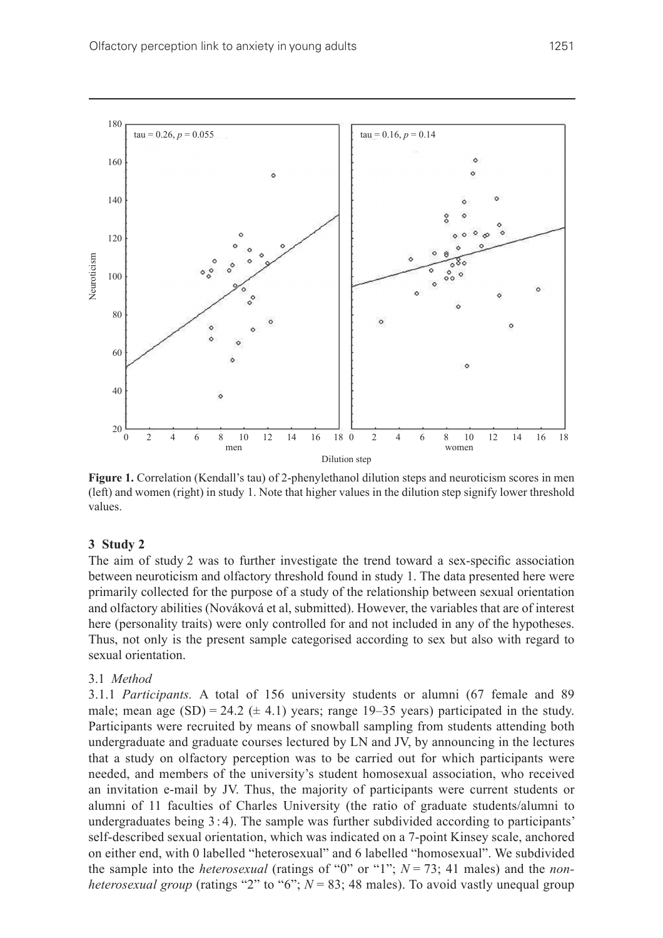

**Figure 1.** Correlation (Kendall's tau) of 2-phenylethanol dilution steps and neuroticism scores in men (left) and women (right) in study 1. Note that higher values in the dilution step signify lower threshold values.

#### **3 Study 2**

The aim of study 2 was to further investigate the trend toward a sex-specific association between neuroticism and olfactory threshold found in study 1. The data presented here were primarily collected for the purpose of a study of the relationship between sexual orientation and olfactory abilities (Nováková et al, submitted). However, the variables that are of interest here (personality traits) were only controlled for and not included in any of the hypotheses. Thus, not only is the present sample categorised according to sex but also with regard to sexual orientation.

#### 3.1 *Method*

3.1.1 *Participants.* A total of 156 university students or alumni (67 female and 89 male; mean age  $(SD) = 24.2 \ (\pm 4.1)$  years; range 19–35 years) participated in the study. Participants were recruited by means of snowball sampling from students attending both undergraduate and graduate courses lectured by LN and JV, by announcing in the lectures that a study on olfactory perception was to be carried out for which participants were needed, and members of the university's student homosexual association, who received an invitation e-mail by JV. Thus, the majority of participants were current students or alumni of 11 faculties of Charles University (the ratio of graduate students/alumni to undergraduates being 3 : 4). The sample was further subdivided according to participants' self-described sexual orientation, which was indicated on a 7‑point Kinsey scale, anchored on either end, with 0 labelled "heterosexual" and 6 labelled "homosexual". We subdivided the sample into the *heterosexual* (ratings of "0" or "1"; *N* = 73; 41 males) and the *nonheterosexual group* (ratings "2" to "6";  $N = 83$ ; 48 males). To avoid vastly unequal group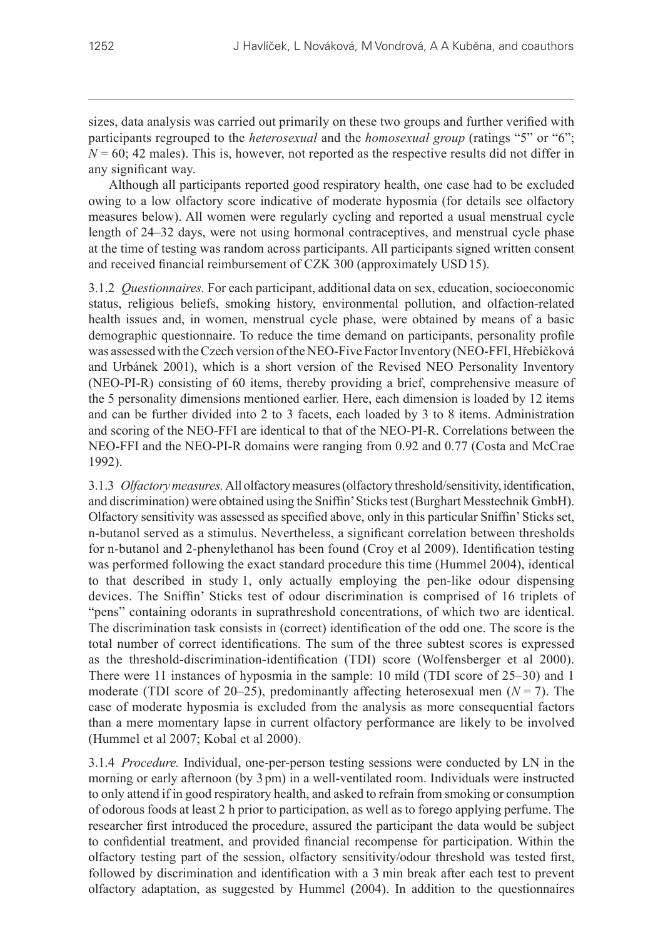sizes, data analysis was carried out primarily on these two groups and further verified with participants regrouped to the *heterosexual* and the *homosexual group* (ratings "5" or "6";  $N = 60$ ; 42 males). This is, however, not reported as the respective results did not differ in any significant way.

Although all participants reported good respiratory health, one case had to be excluded owing to a low olfactory score indicative of moderate hyposmia (for details see olfactory measures below). All women were regularly cycling and reported a usual menstrual cycle length of 24–32 days, were not using hormonal contraceptives, and menstrual cycle phase at the time of testing was random across participants. All participants signed written consent and received financial reimbursement of CZK 300 (approximately USD15).

3.1.2 *Questionnaires.* For each participant, additional data on sex, education, socioeconomic status, religious beliefs, smoking history, environmental pollution, and olfaction-related health issues and, in women, menstrual cycle phase, were obtained by means of a basic demographic questionnaire. To reduce the time demand on participants, personality profile was assessed with the Czech version of the NEO-Five Factor Inventory (NEO-FFI, Hřebíčková and Urbánek 2001), which is a short version of the Revised NEO Personality Inventory (NEO-PI-R) consisting of 60 items, thereby providing a brief, comprehensive measure of the 5 personality dimensions mentioned earlier. Here, each dimension is loaded by 12 items and can be further divided into 2 to 3 facets, each loaded by 3 to 8 items. Administration and scoring of the NEO-FFI are identical to that of the NEO-PI-R. Correlations between the NEO-FFI and the NEO-PI-R domains were ranging from 0.92 and 0.77 (Costa and McCrae 1992).

3.1.3 *Olfactory measures.* All olfactory measures (olfactory threshold/sensitivity, identification, and discrimination) were obtained using the Sniffin' Sticks test (Burghart Messtechnik GmbH). Olfactory sensitivity was assessed as specified above, only in this particular Sniffin' Sticks set, n‑butanol served as a stimulus. Nevertheless, a significant correlation between thresholds for n-butanol and 2-phenylethanol has been found (Croy et al 2009). Identification testing was performed following the exact standard procedure this time (Hummel 2004), identical to that described in study 1, only actually employing the pen-like odour dispensing devices. The Sniffin' Sticks test of odour discrimination is comprised of 16 triplets of "pens" containing odorants in suprathreshold concentrations, of which two are identical. The discrimination task consists in (correct) identification of the odd one. The score is the total number of correct identifications. The sum of the three subtest scores is expressed as the threshold-discrimination-identification (TDI) score (Wolfensberger et al 2000). There were 11 instances of hyposmia in the sample: 10 mild (TDI score of 25–30) and 1 moderate (TDI score of 20–25), predominantly affecting heterosexual men  $(N = 7)$ . The case of moderate hyposmia is excluded from the analysis as more consequential factors than a mere momentary lapse in current olfactory performance are likely to be involved (Hummel et al 2007; Kobal et al 2000).

3.1.4 *Procedure.* Individual, one-per-person testing sessions were conducted by LN in the morning or early afternoon (by 3 pm) in a well-ventilated room. Individuals were instructed to only attend if in good respiratory health, and asked to refrain from smoking or consumption of odorous foods at least 2 h prior to participation, as well as to forego applying perfume. The researcher first introduced the procedure, assured the participant the data would be subject to confidential treatment, and provided financial recompense for participation. Within the olfactory testing part of the session, olfactory sensitivity/odour threshold was tested first, followed by discrimination and identification with a 3 min break after each test to prevent olfactory adaptation, as suggested by Hummel (2004). In addition to the questionnaires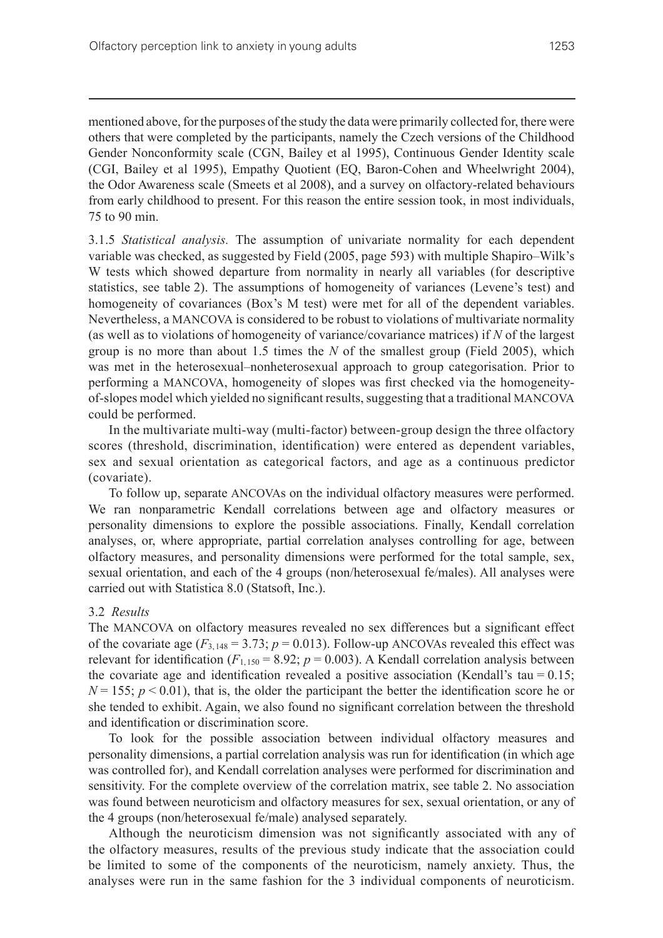mentioned above, for the purposes of the study the data were primarily collected for, there were others that were completed by the participants, namely the Czech versions of the Childhood Gender Nonconformity scale (CGN, Bailey et al 1995), Continuous Gender Identity scale (CGI, Bailey et al 1995), Empathy Quotient (EQ, Baron-Cohen and Wheelwright 2004), the Odor Awareness scale (Smeets et al 2008), and a survey on olfactory-related behaviours from early childhood to present. For this reason the entire session took, in most individuals, 75 to 90 min.

3.1.5 *Statistical analysis.* The assumption of univariate normality for each dependent variable was checked, as suggested by Field (2005, page 593) with multiple Shapiro–Wilk's W tests which showed departure from normality in nearly all variables (for descriptive statistics, see table 2). The assumptions of homogeneity of variances (Levene's test) and homogeneity of covariances (Box's M test) were met for all of the dependent variables. Nevertheless, a MANCOVA is considered to be robust to violations of multivariate normality (as well as to violations of homogeneity of variance/covariance matrices) if *N* of the largest group is no more than about 1.5 times the *N* of the smallest group (Field 2005), which was met in the heterosexual–nonheterosexual approach to group categorisation. Prior to performing a MANCOVA, homogeneity of slopes was first checked via the homogeneityof‑slopes model which yielded no significant results, suggesting that a traditional MANCOVA could be performed.

In the multivariate multi-way (multi-factor) between-group design the three olfactory scores (threshold, discrimination, identification) were entered as dependent variables, sex and sexual orientation as categorical factors, and age as a continuous predictor (covariate).

To follow up, separate ANCOVAs on the individual olfactory measures were performed. We ran nonparametric Kendall correlations between age and olfactory measures or personality dimensions to explore the possible associations. Finally, Kendall correlation analyses, or, where appropriate, partial correlation analyses controlling for age, between olfactory measures, and personality dimensions were performed for the total sample, sex, sexual orientation, and each of the 4 groups (non/heterosexual fe/males). All analyses were carried out with Statistica 8.0 (Statsoft, Inc.).

#### 3.2 *Results*

The MANCOVA on olfactory measures revealed no sex differences but a significant effect of the covariate age  $(F_{3,148} = 3.73; p = 0.013)$ . Follow-up ANCOVAs revealed this effect was relevant for identification ( $F_{1,150} = 8.92$ ;  $p = 0.003$ ). A Kendall correlation analysis between the covariate age and identification revealed a positive association (Kendall's tau =  $0.15$ ;  $N = 155$ ;  $p < 0.01$ ), that is, the older the participant the better the identification score he or she tended to exhibit. Again, we also found no significant correlation between the threshold and identification or discrimination score.

To look for the possible association between individual olfactory measures and personality dimensions, a partial correlation analysis was run for identification (in which age was controlled for), and Kendall correlation analyses were performed for discrimination and sensitivity. For the complete overview of the correlation matrix, see table 2. No association was found between neuroticism and olfactory measures for sex, sexual orientation, or any of the 4 groups (non/heterosexual fe/male) analysed separately.

Although the neuroticism dimension was not significantly associated with any of the olfactory measures, results of the previous study indicate that the association could be limited to some of the components of the neuroticism, namely anxiety. Thus, the analyses were run in the same fashion for the 3 individual components of neuroticism.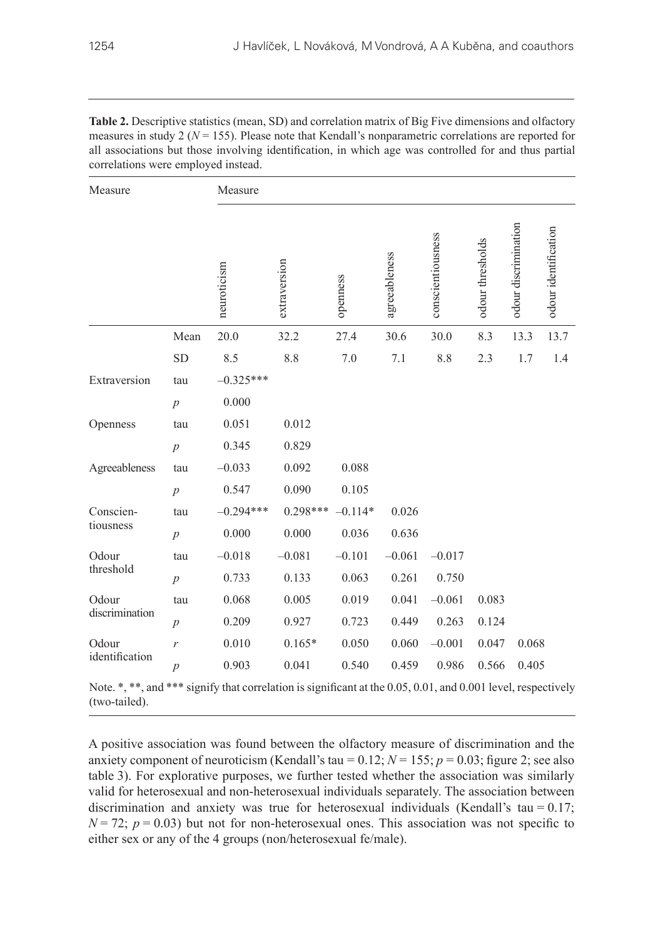| ,我们也不会有什么?""我们的人,我们也不会不会不会。""我们的人,我们也不会不会不会不会。""我们的人,我们也不会不会不会不会。""我们的人,我们也不会不会不 |  |
|----------------------------------------------------------------------------------|--|

| Measure        |                  | Measure     |              |           |               |                   |                  |                      |                      |  |
|----------------|------------------|-------------|--------------|-----------|---------------|-------------------|------------------|----------------------|----------------------|--|
|                |                  | neuroticism | extraversion | openness  | agreeableness | conscientiousness | odour thresholds | odour discrimination | odour identification |  |
|                | Mean             | 20.0        | 32.2         | 27.4      | 30.6          | 30.0              | 8.3              | 13.3                 | 13.7                 |  |
|                | <b>SD</b>        | 8.5         | 8.8          | 7.0       | 7.1           | 8.8               | 2.3              | 1.7                  | 1.4                  |  |
| Extraversion   | tau              | $-0.325***$ |              |           |               |                   |                  |                      |                      |  |
|                | $\overline{p}$   | 0.000       |              |           |               |                   |                  |                      |                      |  |
| Openness       | tau              | 0.051       | 0.012        |           |               |                   |                  |                      |                      |  |
|                | $\overline{p}$   | 0.345       | 0.829        |           |               |                   |                  |                      |                      |  |
| Agreeableness  | tau              | $-0.033$    | 0.092        | 0.088     |               |                   |                  |                      |                      |  |
|                | $\overline{p}$   | 0.547       | 0.090        | 0.105     |               |                   |                  |                      |                      |  |
| Conscien-      | tau              | $-0.294***$ | $0.298***$   | $-0.114*$ | 0.026         |                   |                  |                      |                      |  |
| tiousness      | $\overline{p}$   | 0.000       | 0.000        | 0.036     | 0.636         |                   |                  |                      |                      |  |
| Odour          | tau              | $-0.018$    | $-0.081$     | $-0.101$  | $-0.061$      | $-0.017$          |                  |                      |                      |  |
| threshold      | $\overline{p}$   | 0.733       | 0.133        | 0.063     | 0.261         | 0.750             |                  |                      |                      |  |
| Odour          | tau              | 0.068       | 0.005        | 0.019     | 0.041         | $-0.061$          | 0.083            |                      |                      |  |
| discrimination | $\overline{p}$   | 0.209       | 0.927        | 0.723     | 0.449         | 0.263             | 0.124            |                      |                      |  |
| Odour          | $\mathcal{V}$    | 0.010       | $0.165*$     | 0.050     | 0.060         | $-0.001$          | 0.047            | 0.068                |                      |  |
| identification | $\boldsymbol{p}$ | 0.903       | 0.041        | 0.540     | 0.459         | 0.986             | 0.566            | 0.405                |                      |  |

**Table 2.** Descriptive statistics (mean, SD) and correlation matrix of Big Five dimensions and olfactory measures in study 2 (*N* = 155). Please note that Kendall's nonparametric correlations are reported for all associations but those involving identification, in which age was controlled for and thus partial correlations were employed instead.

Note.  $*,$  \*\*, and \*\*\* signify that correlation is significant at the 0.05, 0.01, and 0.001 level, respectively (two-tailed).

A positive association was found between the olfactory measure of discrimination and the anxiety component of neuroticism (Kendall's tau =  $0.12$ ;  $N = 155$ ;  $p = 0.03$ ; figure 2; see also table 3). For explorative purposes, we further tested whether the association was similarly valid for heterosexual and non-heterosexual individuals separately. The association between discrimination and anxiety was true for heterosexual individuals (Kendall's tau =  $0.17$ ;  $N = 72$ ;  $p = 0.03$ ) but not for non-heterosexual ones. This association was not specific to either sex or any of the 4 groups (non/heterosexual fe/male).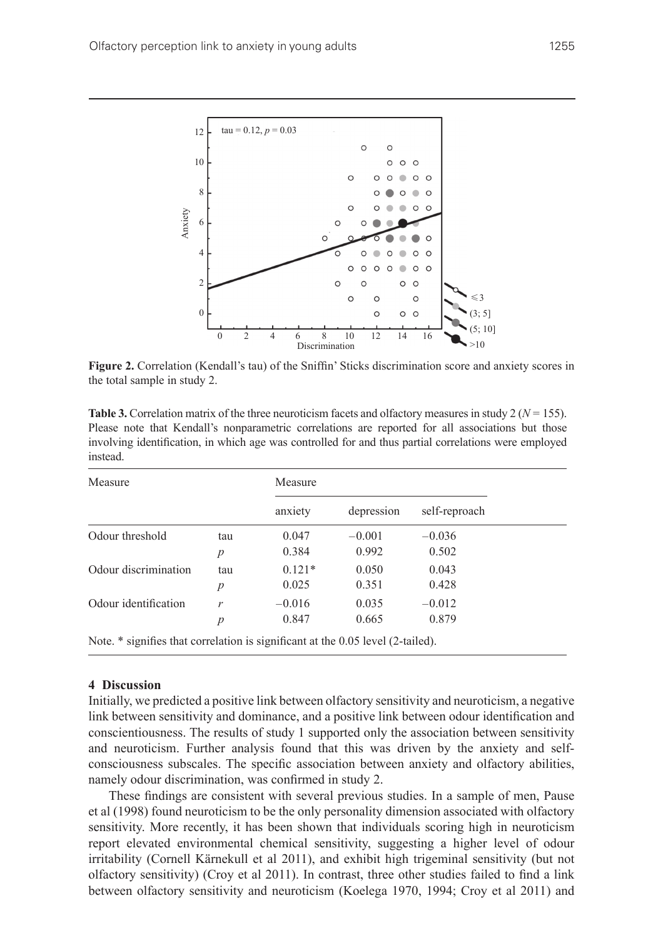

**Figure 2.** Correlation (Kendall's tau) of the Sniffin' Sticks discrimination score and anxiety scores in the total sample in study 2.

| <b>Table 3.</b> Correlation matrix of the three neuroticism facets and olfactory measures in study 2 ( $N = 155$ ). |
|---------------------------------------------------------------------------------------------------------------------|
| Please note that Kendall's nonparametric correlations are reported for all associations but those                   |
| involving identification, in which age was controlled for and thus partial correlations were employed               |
| instead.                                                                                                            |

| Measure                                                                         |     | Measure  |            |               |  |
|---------------------------------------------------------------------------------|-----|----------|------------|---------------|--|
|                                                                                 |     | anxiety  | depression | self-reproach |  |
| Odour threshold                                                                 | tau | 0.047    | $-0.001$   | $-0.036$      |  |
|                                                                                 | р   | 0.384    | 0.992      | 0.502         |  |
| Odour discrimination                                                            | tau | $0.121*$ | 0.050      | 0.043         |  |
|                                                                                 | p   | 0.025    | 0.351      | 0.428         |  |
| Odour identification                                                            | r   | $-0.016$ | 0.035      | $-0.012$      |  |
|                                                                                 | p   | 0.847    | 0.665      | 0.879         |  |
| Note. * signifies that correlation is significant at the 0.05 level (2-tailed). |     |          |            |               |  |

#### **4 Discussion**

Initially, we predicted a positive link between olfactory sensitivity and neuroticism, a negative link between sensitivity and dominance, and a positive link between odour identification and conscientiousness. The results of study 1 supported only the association between sensitivity and neuroticism. Further analysis found that this was driven by the anxiety and selfconsciousness subscales. The specific association between anxiety and olfactory abilities, namely odour discrimination, was confirmed in study 2.

These findings are consistent with several previous studies. In a sample of men, Pause et al (1998) found neuroticism to be the only personality dimension associated with olfactory sensitivity. More recently, it has been shown that individuals scoring high in neuroticism report elevated environmental chemical sensitivity, suggesting a higher level of odour irritability (Cornell Kärnekull et al 2011), and exhibit high trigeminal sensitivity (but not olfactory sensitivity) (Croy et al 2011). In contrast, three other studies failed to find a link between olfactory sensitivity and neuroticism (Koelega 1970, 1994; Croy et al 2011) and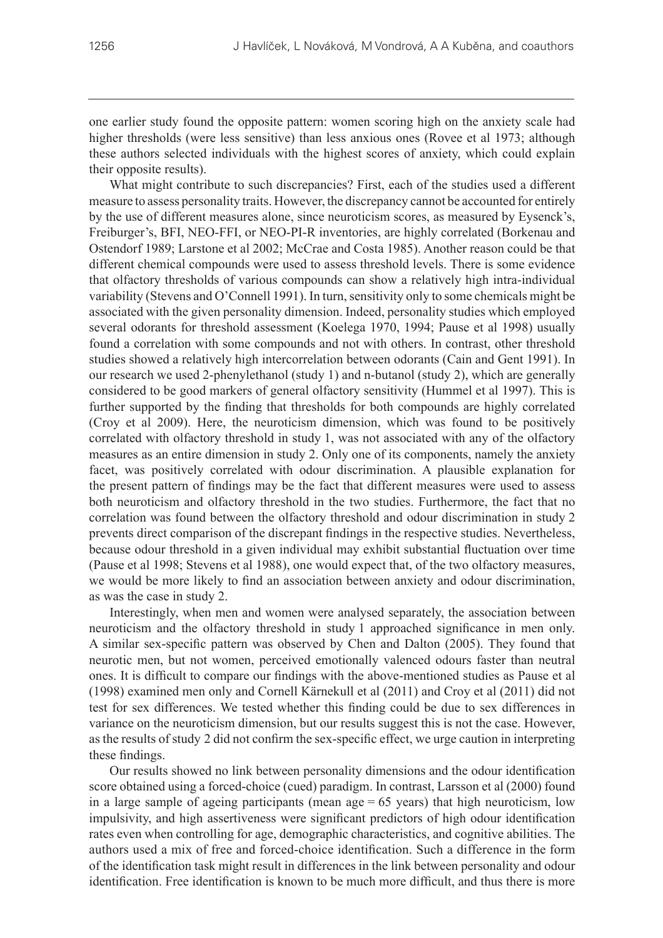one earlier study found the opposite pattern: women scoring high on the anxiety scale had higher thresholds (were less sensitive) than less anxious ones (Rovee et al 1973; although these authors selected individuals with the highest scores of anxiety, which could explain their opposite results).

What might contribute to such discrepancies? First, each of the studies used a different measure to assess personality traits. However, the discrepancy cannot be accounted for entirely by the use of different measures alone, since neuroticism scores, as measured by Eysenck's, Freiburger's, BFI, NEO-FFI, or NEO-PI-R inventories, are highly correlated (Borkenau and Ostendorf 1989; Larstone et al 2002; McCrae and Costa 1985). Another reason could be that different chemical compounds were used to assess threshold levels. There is some evidence that olfactory thresholds of various compounds can show a relatively high intra-individual variability (Stevens and O'Connell 1991). In turn, sensitivity only to some chemicals might be associated with the given personality dimension. Indeed, personality studies which employed several odorants for threshold assessment (Koelega 1970, 1994; Pause et al 1998) usually found a correlation with some compounds and not with others. In contrast, other threshold studies showed a relatively high intercorrelation between odorants (Cain and Gent 1991). In our research we used 2-phenylethanol (study 1) and n‑butanol (study 2), which are generally considered to be good markers of general olfactory sensitivity (Hummel et al 1997). This is further supported by the finding that thresholds for both compounds are highly correlated (Croy et al 2009). Here, the neuroticism dimension, which was found to be positively correlated with olfactory threshold in study 1, was not associated with any of the olfactory measures as an entire dimension in study 2. Only one of its components, namely the anxiety facet, was positively correlated with odour discrimination. A plausible explanation for the present pattern of findings may be the fact that different measures were used to assess both neuroticism and olfactory threshold in the two studies. Furthermore, the fact that no correlation was found between the olfactory threshold and odour discrimination in study 2 prevents direct comparison of the discrepant findings in the respective studies. Nevertheless, because odour threshold in a given individual may exhibit substantial fluctuation over time (Pause et al 1998; Stevens et al 1988), one would expect that, of the two olfactory measures, we would be more likely to find an association between anxiety and odour discrimination, as was the case in study 2.

Interestingly, when men and women were analysed separately, the association between neuroticism and the olfactory threshold in study 1 approached significance in men only. A similar sex-specific pattern was observed by Chen and Dalton (2005). They found that neurotic men, but not women, perceived emotionally valenced odours faster than neutral ones. It is difficult to compare our findings with the above-mentioned studies as Pause et al (1998) examined men only and Cornell Kärnekull et al (2011) and Croy et al (2011) did not test for sex differences. We tested whether this finding could be due to sex differences in variance on the neuroticism dimension, but our results suggest this is not the case. However, as the results of study 2 did not confirm the sex-specific effect, we urge caution in interpreting these findings.

Our results showed no link between personality dimensions and the odour identification score obtained using a forced-choice (cued) paradigm. In contrast, Larsson et al (2000) found in a large sample of ageing participants (mean age  $= 65$  years) that high neuroticism, low impulsivity, and high assertiveness were significant predictors of high odour identification rates even when controlling for age, demographic characteristics, and cognitive abilities. The authors used a mix of free and forced-choice identification. Such a difference in the form of the identification task might result in differences in the link between personality and odour identification. Free identification is known to be much more difficult, and thus there is more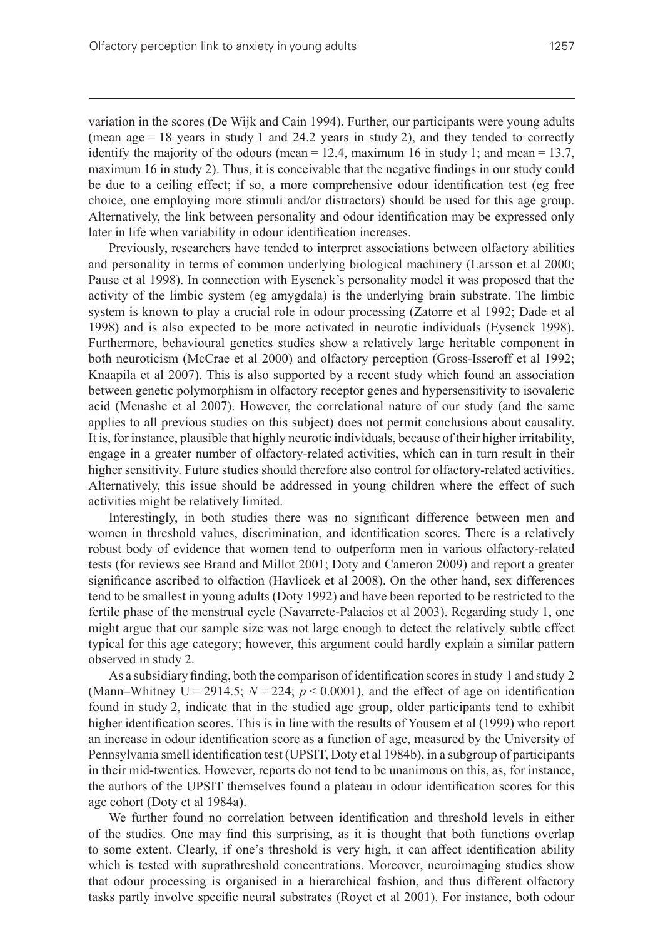variation in the scores (De Wijk and Cain 1994). Further, our participants were young adults (mean age = 18 years in study 1 and 24.2 years in study 2), and they tended to correctly identify the majority of the odours (mean  $= 12.4$ , maximum 16 in study 1; and mean  $= 13.7$ , maximum 16 in study 2). Thus, it is conceivable that the negative findings in our study could be due to a ceiling effect; if so, a more comprehensive odour identification test (eg free choice, one employing more stimuli and/or distractors) should be used for this age group. Alternatively, the link between personality and odour identification may be expressed only later in life when variability in odour identification increases.

Previously, researchers have tended to interpret associations between olfactory abilities and personality in terms of common underlying biological machinery (Larsson et al 2000; Pause et al 1998). In connection with Eysenck's personality model it was proposed that the activity of the limbic system (eg amygdala) is the underlying brain substrate. The limbic system is known to play a crucial role in odour processing (Zatorre et al 1992; Dade et al 1998) and is also expected to be more activated in neurotic individuals (Eysenck 1998). Furthermore, behavioural genetics studies show a relatively large heritable component in both neuroticism (McCrae et al 2000) and olfactory perception (Gross-Isseroff et al 1992; Knaapila et al 2007). This is also supported by a recent study which found an association between genetic polymorphism in olfactory receptor genes and hypersensitivity to isovaleric acid (Menashe et al 2007). However, the correlational nature of our study (and the same applies to all previous studies on this subject) does not permit conclusions about causality. It is, for instance, plausible that highly neurotic individuals, because of their higher irritability, engage in a greater number of olfactory-related activities, which can in turn result in their higher sensitivity. Future studies should therefore also control for olfactory-related activities. Alternatively, this issue should be addressed in young children where the effect of such activities might be relatively limited.

Interestingly, in both studies there was no significant difference between men and women in threshold values, discrimination, and identification scores. There is a relatively robust body of evidence that women tend to outperform men in various olfactory-related tests (for reviews see Brand and Millot 2001; Doty and Cameron 2009) and report a greater significance ascribed to olfaction (Havlicek et al 2008). On the other hand, sex differences tend to be smallest in young adults (Doty 1992) and have been reported to be restricted to the fertile phase of the menstrual cycle (Navarrete-Palacios et al 2003). Regarding study 1, one might argue that our sample size was not large enough to detect the relatively subtle effect typical for this age category; however, this argument could hardly explain a similar pattern observed in study 2.

As a subsidiary finding, both the comparison of identification scores in study 1 and study 2 (Mann–Whitney  $U = 2914.5$ ;  $N = 224$ ;  $p < 0.0001$ ), and the effect of age on identification found in study 2, indicate that in the studied age group, older participants tend to exhibit higher identification scores. This is in line with the results of Yousem et al (1999) who report an increase in odour identification score as a function of age, measured by the University of Pennsylvania smell identification test (UPSIT, Doty et al 1984b), in a subgroup of participants in their mid-twenties. However, reports do not tend to be unanimous on this, as, for instance, the authors of the UPSIT themselves found a plateau in odour identification scores for this age cohort (Doty et al 1984a).

We further found no correlation between identification and threshold levels in either of the studies. One may find this surprising, as it is thought that both functions overlap to some extent. Clearly, if one's threshold is very high, it can affect identification ability which is tested with suprathreshold concentrations. Moreover, neuroimaging studies show that odour processing is organised in a hierarchical fashion, and thus different olfactory tasks partly involve specific neural substrates (Royet et al 2001). For instance, both odour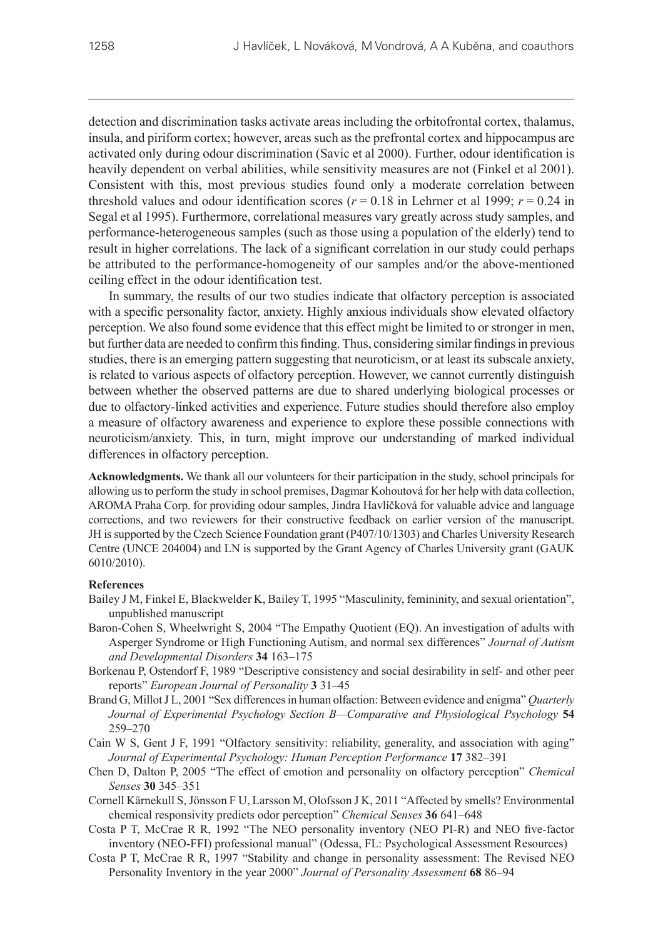detection and discrimination tasks activate areas including the orbitofrontal cortex, thalamus, insula, and piriform cortex; however, areas such as the prefrontal cortex and hippocampus are activated only during odour discrimination (Savic et al 2000). Further, odour identification is heavily dependent on verbal abilities, while sensitivity measures are not (Finkel et al 2001). Consistent with this, most previous studies found only a moderate correlation between threshold values and odour identification scores ( $r = 0.18$  in Lehrner et al 1999;  $r = 0.24$  in Segal et al 1995). Furthermore, correlational measures vary greatly across study samples, and performance-heterogeneous samples (such as those using a population of the elderly) tend to result in higher correlations. The lack of a significant correlation in our study could perhaps be attributed to the performance-homogeneity of our samples and/or the above-mentioned ceiling effect in the odour identification test.

In summary, the results of our two studies indicate that olfactory perception is associated with a specific personality factor, anxiety. Highly anxious individuals show elevated olfactory perception. We also found some evidence that this effect might be limited to or stronger in men, but further data are needed to confirm this finding. Thus, considering similar findings in previous studies, there is an emerging pattern suggesting that neuroticism, or at least its subscale anxiety, is related to various aspects of olfactory perception. However, we cannot currently distinguish between whether the observed patterns are due to shared underlying biological processes or due to olfactory-linked activities and experience. Future studies should therefore also employ a measure of olfactory awareness and experience to explore these possible connections with neuroticism/anxiety. This, in turn, might improve our understanding of marked individual differences in olfactory perception.

**Acknowledgments.** We thank all our volunteers for their participation in the study, school principals for allowing us to perform the study in school premises, Dagmar Kohoutová for her help with data collection, AROMA Praha Corp. for providing odour samples, Jindra Havlíčková for valuable advice and language corrections, and two reviewers for their constructive feedback on earlier version of the manuscript. JH issupported by the Czech Science Foundation grant (P407/10/1303) and Charles University Research Centre (UNCE 204004) and LN is supported by the Grant Agency of Charles University grant (GAUK 6010/2010).

#### **References**

- Bailey J M, Finkel E, Blackwelder K, Bailey T, 1995 "Masculinity, femininity, and sexual orientation", unpublished manuscript
- Baron-Cohen S, Wheelwright S, 2004 "The Empathy Quotient (EQ). An investigation of adults with Asperger Syndrome or High Functioning Autism, and normal sex differences" *Journal of Autism and Developmental Disorders* **34** 163–175
- Borkenau P, Ostendorf F, 1989 "Descriptive consistency and social desirability in self- and other peer reports" *European Journal of Personality* **3** 31–45
- Brand G, Millot J L, 2001 "Sex differences in human olfaction: Between evidence and enigma" *Quarterly Journal of Experimental Psychology Section B—Comparative and Physiological Psychology* **54** 259–270
- Cain W S, Gent J F, 1991 "Olfactory sensitivity: reliability, generality, and association with aging" *Journal of Experimental Psychology: Human Perception Performance* **17** 382–391
- Chen D, Dalton P, 2005 "The effect of emotion and personality on olfactory perception" *Chemical Senses* **30** 345–351
- Cornell Kärnekull S, Jönsson F U, Larsson M, Olofsson J K, 2011 "Affected by smells? Environmental chemical responsivity predicts odor perception" *Chemical Senses* **36** 641–648
- Costa P T, McCrae R R, 1992 "The NEO personality inventory (NEO PI-R) and NEO five-factor inventory (NEO-FFI) professional manual" (Odessa, FL: Psychological Assessment Resources)
- Costa P T, McCrae R R, 1997 "Stability and change in personality assessment: The Revised NEO Personality Inventory in the year 2000" *Journal of Personality Assessment* **68** 86–94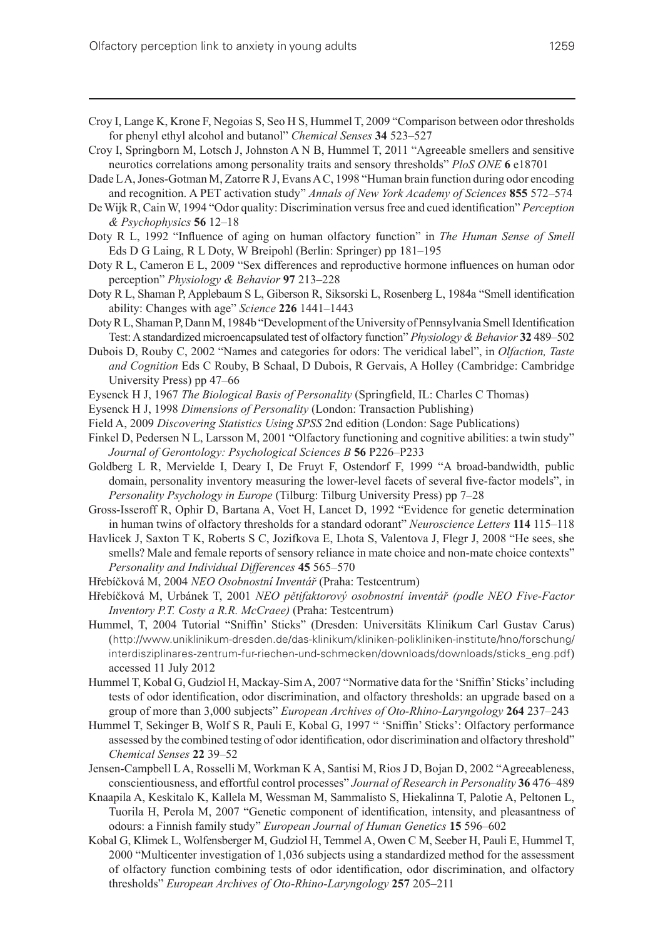- Croy I, Lange K, Krone F, Negoias S, Seo H S, Hummel T, 2009 "Comparison between odor thresholds for phenyl ethyl alcohol and butanol" *Chemical Senses* **34** 523–527
- Croy I, Springborn M, Lotsch J, Johnston A N B, Hummel T, 2011 "Agreeable smellers and sensitive neurotics correlations among personality traits and sensory thresholds" *PloS ONE* **6** e18701
- Dade LA, Jones-Gotman M, Zatorre R J, Evans A C, 1998 "Human brain function during odor encoding and recognition. A PET activation study" *Annals of New York Academy of Sciences* **855** 572–574
- De Wijk R, Cain W, 1994 "Odor quality: Discrimination versus free and cued identification" *Perception & Psychophysics* **56** 12–18
- Doty R L, 1992 "Influence of aging on human olfactory function" in *The Human Sense of Smell* Eds D G Laing, R L Doty, W Breipohl (Berlin: Springer) pp 181–195
- Doty R L, Cameron E L, 2009 "Sex differences and reproductive hormone influences on human odor perception" *Physiology & Behavior* **97** 213–228
- Doty R L, Shaman P, Applebaum S L, Giberson R, Siksorski L, Rosenberg L, 1984a "Smell identification ability: Changes with age" *Science* **226** 1441–1443
- Doty R L, Shaman P, Dann M, 1984b "Development of the University of Pennsylvania Smell Identification Test: A standardized microencapsulated test of olfactory function" *Physiology & Behavior* **32** 489–502
- Dubois D, Rouby C, 2002 "Names and categories for odors: The veridical label", in *Olfaction, Taste and Cognition* Eds C Rouby, B Schaal, D Dubois, R Gervais, A Holley (Cambridge: Cambridge University Press) pp 47–66
- Eysenck H J, 1967 *The Biological Basis of Personality* (Springfield, IL: Charles C Thomas)
- Eysenck H J, 1998 *Dimensions of Personality* (London: Transaction Publishing)
- Field A, 2009 *Discovering Statistics Using SPSS* 2nd edition (London: Sage Publications)
- Finkel D, Pedersen N L, Larsson M, 2001 "Olfactory functioning and cognitive abilities: a twin study" *Journal of Gerontology: Psychological Sciences B* **56** P226–P233
- Goldberg L R, Mervielde I, Deary I, De Fruyt F, Ostendorf F, 1999 "A broad-bandwidth, public domain, personality inventory measuring the lower-level facets of several five-factor models", in *Personality Psychology in Europe* (Tilburg: Tilburg University Press) pp 7–28
- Gross-Isseroff R, Ophir D, Bartana A, Voet H, Lancet D, 1992 "Evidence for genetic determination in human twins of olfactory thresholds for a standard odorant" *Neuroscience Letters* **114** 115–118
- Havlicek J, Saxton T K, Roberts S C, Jozifkova E, Lhota S, Valentova J, Flegr J, 2008 "He sees, she smells? Male and female reports of sensory reliance in mate choice and non-mate choice contexts" *Personality and Individual Differences* **45** 565–570
- Hřebíčková M, 2004 *NEO Osobnostní Inventář* (Praha: Testcentrum)
- Hřebíčková M, Urbánek T, 2001 *NEO pětifaktorový osobnostní inventář (podle NEO Five-Factor Inventory P.T. Costy a R.R. McCraee)* (Praha: Testcentrum)
- Hummel, T, 2004 Tutorial "Sniffin' Sticks" (Dresden: Universitäts Klinikum Carl Gustav Carus) (http://www.uniklinikum-dresden.de/das-klinikum/kliniken-polikliniken-institute/hno/forschung/ interdisziplinares-zentrum-fur-riechen-und-schmecken/downloads/downloads/sticks\_eng.pdf) accessed 11 July 2012
- Hummel T, Kobal G, Gudziol H, Mackay-Sim A, 2007 "Normative data for the 'Sniffin' Sticks' including tests of odor identification, odor discrimination, and olfactory thresholds: an upgrade based on a group of more than 3,000 subjects" *European Archives of Oto-Rhino-Laryngology* **264** 237–243
- Hummel T, Sekinger B, Wolf S R, Pauli E, Kobal G, 1997 " 'Sniffin' Sticks': Olfactory performance assessed by the combined testing of odor identification, odor discrimination and olfactory threshold" *Chemical Senses* **22** 39–52
- Jensen-Campbell L A, Rosselli M, Workman K A, Santisi M, Rios J D, Bojan D, 2002 "Agreeableness, conscientiousness, and effortful control processes" *Journal of Research in Personality* **36** 476–489
- Knaapila A, Keskitalo K, Kallela M, Wessman M, Sammalisto S, Hiekalinna T, Palotie A, Peltonen L, Tuorila H, Perola M, 2007 "Genetic component of identification, intensity, and pleasantness of odours: a Finnish family study" *European Journal of Human Genetics* **15** 596–602
- Kobal G, Klimek L, Wolfensberger M, Gudziol H, Temmel A, Owen C M, Seeber H, Pauli E, Hummel T, 2000 "Multicenter investigation of 1,036 subjects using a standardized method for the assessment of olfactory function combining tests of odor identification, odor discrimination, and olfactory thresholds" *European Archives of Oto-Rhino-Laryngology* **257** 205–211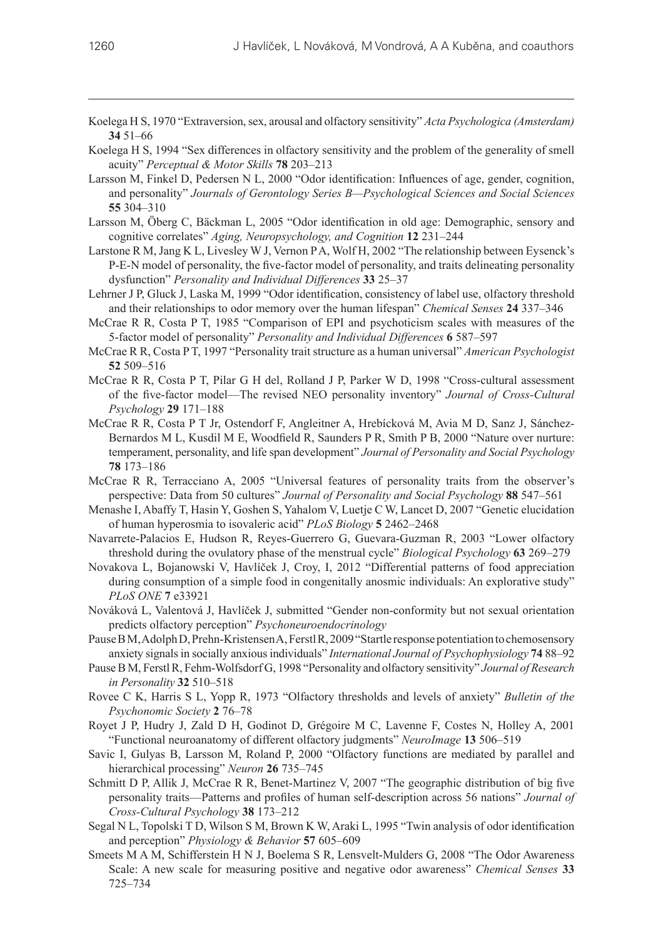- Koelega H S, 1970 "Extraversion, sex, arousal and olfactory sensitivity" *Acta Psychologica (Amsterdam)*  **34** 51–66
- Koelega H S, 1994 "Sex differences in olfactory sensitivity and the problem of the generality of smell acuity" *Perceptual & Motor Skills* **78** 203–213
- Larsson M, Finkel D, Pedersen N L, 2000 "Odor identification: Influences of age, gender, cognition, and personality" *Journals of Gerontology Series B—Psychological Sciences and Social Sciences* **55** 304–310
- Larsson M, Öberg C, Bäckman L, 2005 "Odor identification in old age: Demographic, sensory and cognitive correlates" *Aging, Neuropsychology, and Cognition* **12** 231–244
- Larstone R M, Jang K L, Livesley W J, Vernon P A, Wolf H, 2002 "The relationship between Eysenck's P‑E‑N model of personality, the five-factor model of personality, and traits delineating personality dysfunction" *Personality and Individual Differences* **33** 25–37
- Lehrner J P, Gluck J, Laska M, 1999 "Odor identification, consistency of label use, olfactory threshold and their relationships to odor memory over the human lifespan" *Chemical Senses* **24** 337–346
- McCrae R R, Costa P T, 1985 "Comparison of EPI and psychoticism scales with measures of the 5‑factor model of personality" *Personality and Individual Differences* **6** 587–597
- McCrae R R, Costa P T, 1997 "Personality trait structure as a human universal" *American Psychologist* **52** 509–516
- McCrae R R, Costa P T, Pilar G H del, Rolland J P, Parker W D, 1998 "Cross-cultural assessment of the five-factor model—The revised NEO personality inventory" *Journal of Cross-Cultural Psychology* **29** 171–188
- McCrae R R, Costa P T Jr, Ostendorf F, Angleitner A, Hrebícková M, Avia M D, Sanz J, Sánchez-Bernardos M L, Kusdil M E, Woodfield R, Saunders P R, Smith P B, 2000 "Nature over nurture: temperament, personality, and life span development" *Journal of Personality and Social Psychology* **78** 173–186
- McCrae R R, Terracciano A, 2005 "Universal features of personality traits from the observer's perspective: Data from 50 cultures" *Journal of Personality and Social Psychology* **88** 547–561
- Menashe I, Abaffy T, Hasin Y, Goshen S, Yahalom V, Luetje C W, Lancet D, 2007 "Genetic elucidation of human hyperosmia to isovaleric acid" *PLoS Biology* **5** 2462–2468
- Navarrete-Palacios E, Hudson R, Reyes-Guerrero G, Guevara-Guzman R, 2003 "Lower olfactory threshold during the ovulatory phase of the menstrual cycle" *Biological Psychology* **63** 269–279
- Novakova L, Bojanowski V, Havlíček J, Croy, I, 2012 "Differential patterns of food appreciation during consumption of a simple food in congenitally anosmic individuals: An explorative study" *PLoS ONE* **7** e33921
- Nováková L, Valentová J, Havlíček J, submitted "Gender non-conformity but not sexual orientation predicts olfactory perception" *Psychoneuroendocrinology*
- Pause B M, Adolph D, Prehn-Kristensen A, Ferstl R, 2009 "Startle response potentiation to chemosensory anxiety signals in socially anxious individuals" *International Journal of Psychophysiology* **74** 88–92
- Pause B M, Ferstl R, Fehm-Wolfsdorf G, 1998 "Personality and olfactory sensitivity" *Journal of Research in Personality* **32** 510–518
- Rovee C K, Harris S L, Yopp R, 1973 "Olfactory thresholds and levels of anxiety" *Bulletin of the Psychonomic Society* **2** 76–78
- Royet J P, Hudry J, Zald D H, Godinot D, Grégoire M C, Lavenne F, Costes N, Holley A, 2001 "Functional neuroanatomy of different olfactory judgments" *NeuroImage* **13** 506–519
- Savic I, Gulyas B, Larsson M, Roland P, 2000 "Olfactory functions are mediated by parallel and hierarchical processing" *Neuron* **26** 735–745
- Schmitt D P, Allik J, McCrae R R, Benet-Martinez V, 2007 "The geographic distribution of big five personality traits—Patterns and profiles of human self-description across 56 nations" *Journal of Cross-Cultural Psychology* **38** 173–212
- Segal N L, Topolski T D, Wilson S M, Brown K W, Araki L, 1995 "Twin analysis of odor identification and perception" *Physiology & Behavior* **57** 605–609
- Smeets M A M, Schifferstein H N J, Boelema S R, Lensvelt-Mulders G, 2008 "The Odor Awareness Scale: A new scale for measuring positive and negative odor awareness" *Chemical Senses* **33** 725–734